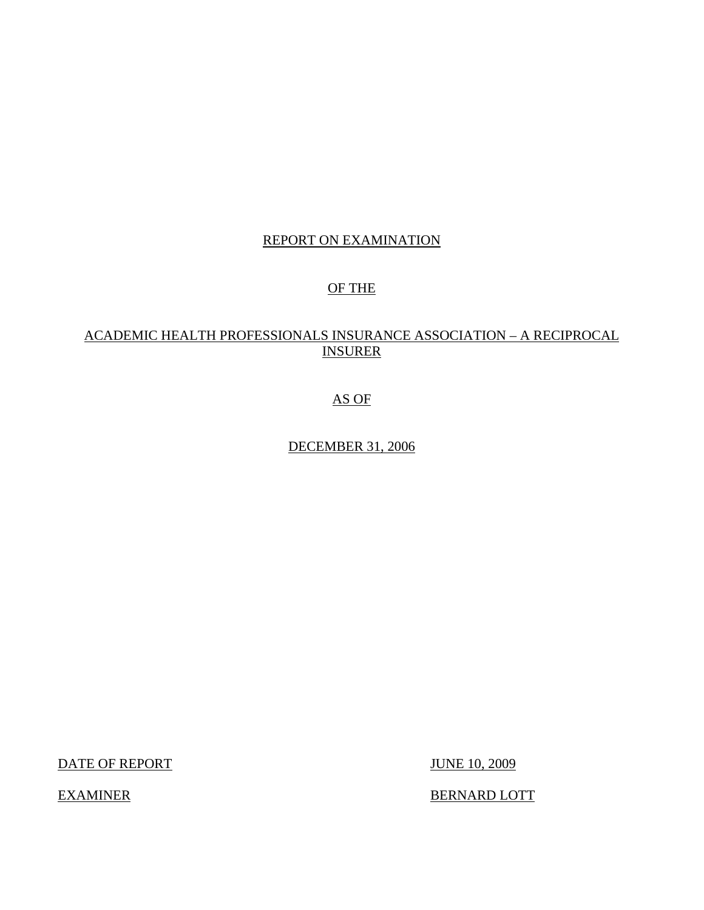# REPORT ON EXAMINATION

# OF THE

# ACADEMIC HEALTH PROFESSIONALS INSURANCE ASSOCIATION – A RECIPROCAL INSURER

# AS OF

# DECEMBER 31, 2006

DATE OF REPORT JUNE 10, 2009

EXAMINER BERNARD LOTT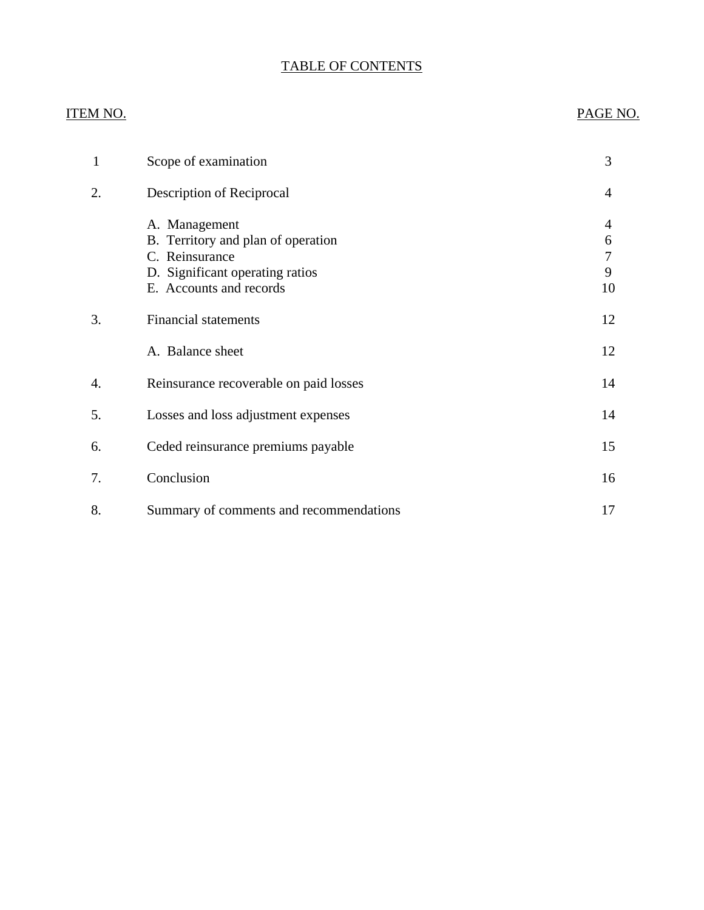# TABLE OF CONTENTS

# **ITEM NO.**

## PAGE NO.

| 1  | Scope of examination                                                                                                                | 3                      |
|----|-------------------------------------------------------------------------------------------------------------------------------------|------------------------|
| 2. | Description of Reciprocal                                                                                                           | 4                      |
|    | A. Management<br>B. Territory and plan of operation<br>C. Reinsurance<br>D. Significant operating ratios<br>E. Accounts and records | 4<br>6<br>7<br>9<br>10 |
| 3. | <b>Financial statements</b>                                                                                                         | 12                     |
|    | A. Balance sheet                                                                                                                    | 12                     |
| 4. | Reinsurance recoverable on paid losses                                                                                              | 14                     |
| 5. | Losses and loss adjustment expenses                                                                                                 | 14                     |
| 6. | Ceded reinsurance premiums payable                                                                                                  | 15                     |
| 7. | Conclusion                                                                                                                          | 16                     |
| 8. | Summary of comments and recommendations                                                                                             | 17                     |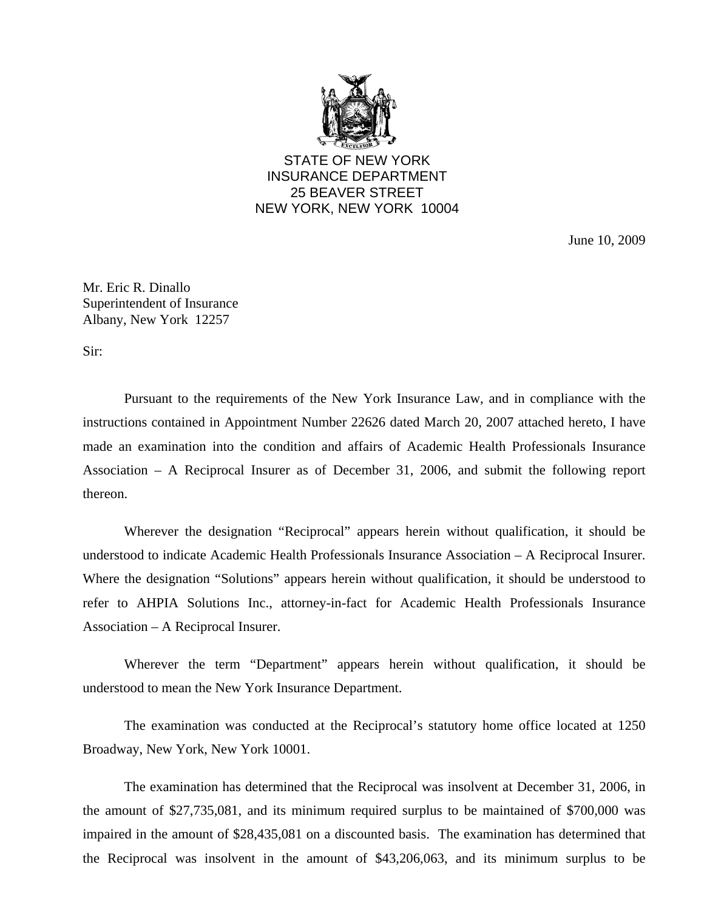

STATE OF NEW YORK INSURANCE DEPARTMENT 25 BEAVER STREET NEW YORK, NEW YORK 10004

June 10, 2009

Mr. Eric R. Dinallo Superintendent of Insurance Albany, New York 12257

Sir:

Pursuant to the requirements of the New York Insurance Law, and in compliance with the instructions contained in Appointment Number 22626 dated March 20, 2007 attached hereto, I have made an examination into the condition and affairs of Academic Health Professionals Insurance Association – A Reciprocal Insurer as of December 31, 2006, and submit the following report thereon.

Wherever the designation "Reciprocal" appears herein without qualification, it should be understood to indicate Academic Health Professionals Insurance Association – A Reciprocal Insurer. Where the designation "Solutions" appears herein without qualification, it should be understood to refer to AHPIA Solutions Inc., attorney-in-fact for Academic Health Professionals Insurance Association – A Reciprocal Insurer.

Wherever the term "Department" appears herein without qualification, it should be understood to mean the New York Insurance Department.

The examination was conducted at the Reciprocal's statutory home office located at 1250 Broadway, New York, New York 10001.

The examination has determined that the Reciprocal was insolvent at December 31, 2006, in the amount of \$27,735,081, and its minimum required surplus to be maintained of \$700,000 was impaired in the amount of \$28,435,081 on a discounted basis. The examination has determined that the Reciprocal was insolvent in the amount of \$43,206,063, and its minimum surplus to be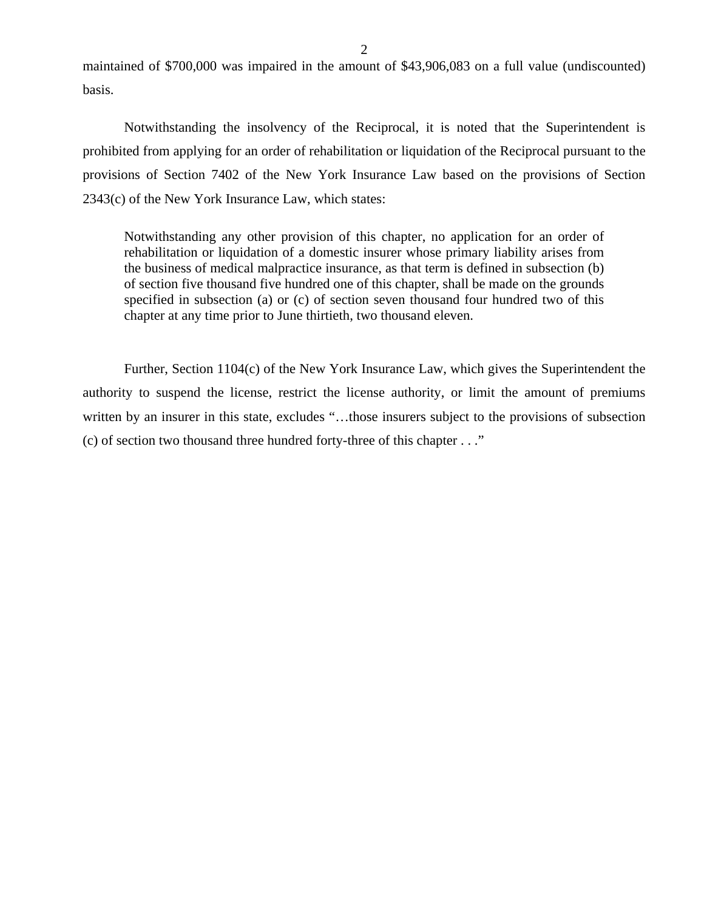maintained of \$700,000 was impaired in the amount of \$43,906,083 on a full value (undiscounted) basis.

Notwithstanding the insolvency of the Reciprocal, it is noted that the Superintendent is prohibited from applying for an order of rehabilitation or liquidation of the Reciprocal pursuant to the provisions of Section 7402 of the New York Insurance Law based on the provisions of Section 2343(c) of the New York Insurance Law, which states:

Notwithstanding any other provision of this chapter, no application for an order of rehabilitation or liquidation of a domestic insurer whose primary liability arises from the business of medical malpractice insurance, as that term is defined in subsection (b) of section five thousand five hundred one of this chapter, shall be made on the grounds specified in subsection (a) or (c) of section seven thousand four hundred two of this chapter at any time prior to June thirtieth, two thousand eleven.

Further, Section 1104(c) of the New York Insurance Law, which gives the Superintendent the authority to suspend the license, restrict the license authority, or limit the amount of premiums written by an insurer in this state, excludes "…those insurers subject to the provisions of subsection (c) of section two thousand three hundred forty-three of this chapter . . ."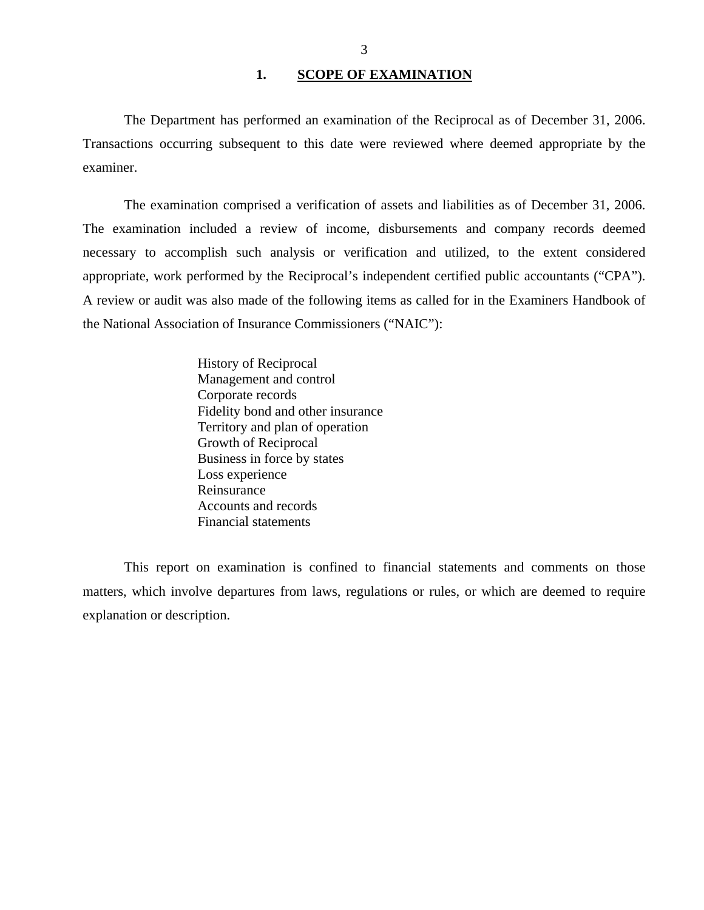### 1. SCOPE OF EXAMINATION

<span id="page-4-0"></span>The Department has performed an examination of the Reciprocal as of December 31, 2006. Transactions occurring subsequent to this date were reviewed where deemed appropriate by the examiner.

The examination comprised a verification of assets and liabilities as of December 31, 2006. The examination included a review of income, disbursements and company records deemed necessary to accomplish such analysis or verification and utilized, to the extent considered appropriate, work performed by the Reciprocal's independent certified public accountants ("CPA"). A review or audit was also made of the following items as called for in the Examiners Handbook of the National Association of Insurance Commissioners ("NAIC"):

> History of Reciprocal Management and control Corporate records Fidelity bond and other insurance Territory and plan of operation Growth of Reciprocal Business in force by states Loss experience Reinsurance Accounts and records Financial statements

This report on examination is confined to financial statements and comments on those matters, which involve departures from laws, regulations or rules, or which are deemed to require explanation or description.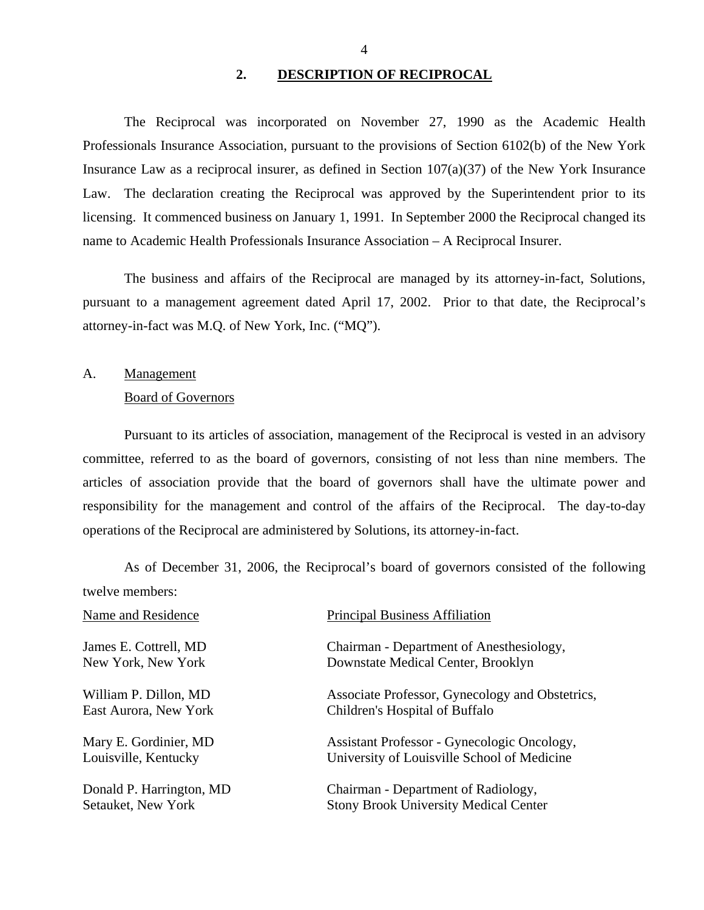### **2. DESCRIPTION OF RECIPROCAL**

<span id="page-5-0"></span>The Reciprocal was incorporated on November 27, 1990 as the Academic Health Professionals Insurance Association, pursuant to the provisions of Section 6102(b) of the New York Insurance Law as a reciprocal insurer, as defined in Section 107(a)(37) of the New York Insurance Law. The declaration creating the Reciprocal was approved by the Superintendent prior to its licensing. It commenced business on January 1, 1991. In September 2000 the Reciprocal changed its name to Academic Health Professionals Insurance Association – A Reciprocal Insurer.

The business and affairs of the Reciprocal are managed by its attorney-in-fact, Solutions, pursuant to a management agreement dated April 17, 2002. Prior to that date, the Reciprocal's attorney-in-fact was M.Q. of New York, Inc. ("MQ").

A. Management Board of Governors

Pursuant to its articles of association, management of the Reciprocal is vested in an advisory committee, referred to as the board of governors, consisting of not less than nine members. The articles of association provide that the board of governors shall have the ultimate power and responsibility for the management and control of the affairs of the Reciprocal. The day-to-day operations of the Reciprocal are administered by Solutions, its attorney-in-fact.

As of December 31, 2006, the Reciprocal's board of governors consisted of the following twelve members:

| Name and Residence       | <b>Principal Business Affiliation</b>           |
|--------------------------|-------------------------------------------------|
| James E. Cottrell, MD    | Chairman - Department of Anesthesiology,        |
| New York, New York       | Downstate Medical Center, Brooklyn              |
| William P. Dillon, MD    | Associate Professor, Gynecology and Obstetrics, |
| East Aurora, New York    | Children's Hospital of Buffalo                  |
| Mary E. Gordinier, MD    | Assistant Professor - Gynecologic Oncology,     |
| Louisville, Kentucky     | University of Louisville School of Medicine     |
| Donald P. Harrington, MD | Chairman - Department of Radiology,             |
| Setauket, New York       | <b>Stony Brook University Medical Center</b>    |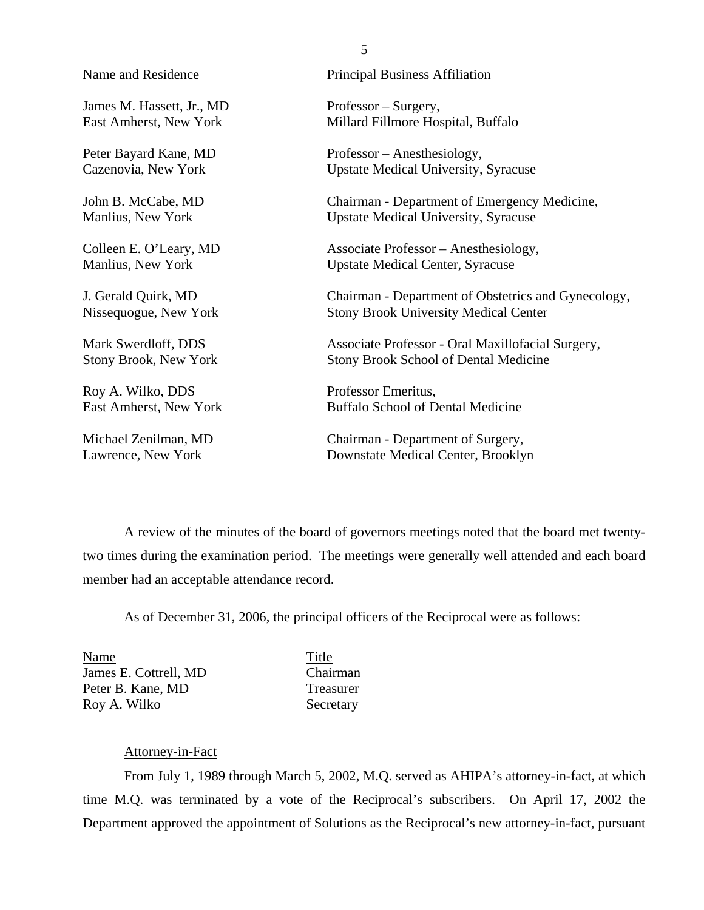James M. Hassett, Jr., MD Professor – Surgery,

Roy A. Wilko, DDS Professor Emeritus,

### Name and Residence Principal Business Affiliation

East Amherst, New York Millard Fillmore Hospital, Buffalo

Peter Bayard Kane, MD Professor – Anesthesiology, Cazenovia, New York Upstate Medical University, Syracuse

John B. McCabe, MD Chairman - Department of Emergency Medicine, Manlius, New York Upstate Medical University, Syracuse

Colleen E. O'Leary, MD Associate Professor – Anesthesiology, Manlius, New York Upstate Medical Center, Syracuse

J. Gerald Quirk, MD Chairman - Department of Obstetrics and Gynecology, Nissequogue, New York Stony Brook University Medical Center

Mark Swerdloff, DDS Associate Professor - Oral Maxillofacial Surgery, Stony Brook, New York Stony Brook School of Dental Medicine

East Amherst, New York Buffalo School of Dental Medicine

Michael Zenilman, MD Chairman - Department of Surgery, Lawrence, New York Downstate Medical Center, Brooklyn

A review of the minutes of the board of governors meetings noted that the board met twentytwo times during the examination period. The meetings were generally well attended and each board member had an acceptable attendance record.

As of December 31, 2006, the principal officers of the Reciprocal were as follows:

Name Title James E. Cottrell, MD Chairman Peter B. Kane, MD Treasurer Roy A. Wilko Secretary

### Attorney-in-Fact

From July 1, 1989 through March 5, 2002, M.Q. served as AHIPA's attorney-in-fact, at which time M.Q. was terminated by a vote of the Reciprocal's subscribers. On April 17, 2002 the Department approved the appointment of Solutions as the Reciprocal's new attorney-in-fact, pursuant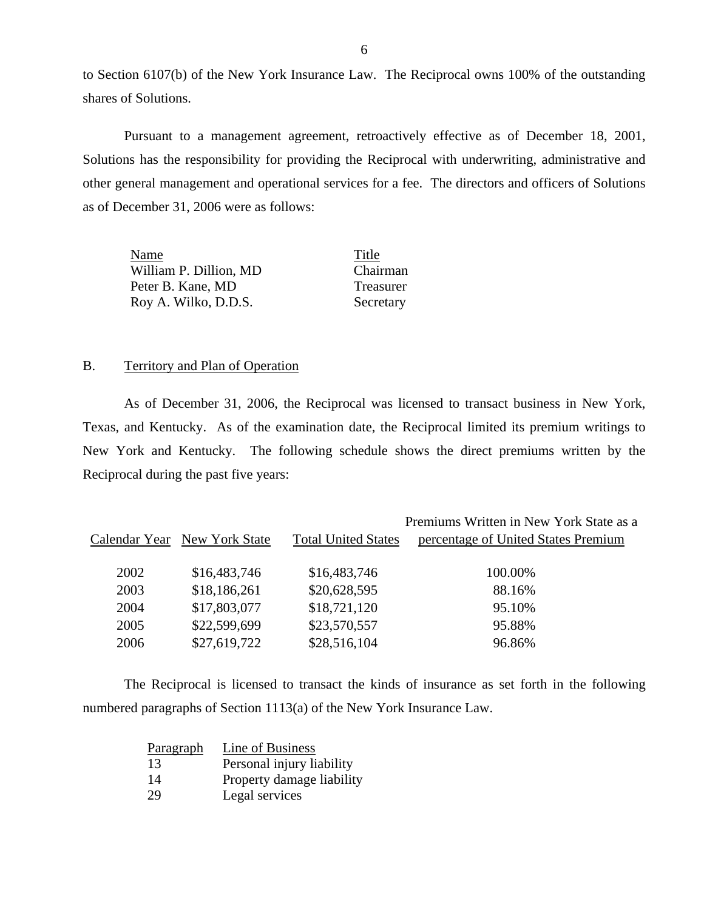to Section 6107(b) of the New York Insurance Law. The Reciprocal owns 100% of the outstanding shares of Solutions.

Pursuant to a management agreement, retroactively effective as of December 18, 2001, Solutions has the responsibility for providing the Reciprocal with underwriting, administrative and other general management and operational services for a fee. The directors and officers of Solutions as of December 31, 2006 were as follows:

| Name                   | Title     |
|------------------------|-----------|
| William P. Dillion, MD | Chairman  |
| Peter B. Kane, MD      | Treasurer |
| Roy A. Wilko, D.D.S.   | Secretary |

### B. Territory and Plan of Operation

As of December 31, 2006, the Reciprocal was licensed to transact business in New York, Texas, and Kentucky. As of the examination date, the Reciprocal limited its premium writings to New York and Kentucky. The following schedule shows the direct premiums written by the Reciprocal during the past five years:

|      |                              |                            | Premiums Written in New York State as a |
|------|------------------------------|----------------------------|-----------------------------------------|
|      | Calendar Year New York State | <b>Total United States</b> | percentage of United States Premium     |
| 2002 | \$16,483,746                 | \$16,483,746               | 100.00%                                 |
| 2003 | \$18,186,261                 | \$20,628,595               | 88.16%                                  |
| 2004 | \$17,803,077                 | \$18,721,120               | 95.10%                                  |
| 2005 | \$22,599,699                 | \$23,570,557               | 95.88%                                  |
| 2006 | \$27,619,722                 | \$28,516,104               | 96.86%                                  |

The Reciprocal is licensed to transact the kinds of insurance as set forth in the following numbered paragraphs of Section 1113(a) of the New York Insurance Law.

| <b>Paragraph</b> | Line of Business          |
|------------------|---------------------------|
| 13               | Personal injury liability |
| 14               | Property damage liability |
| 29               | Legal services            |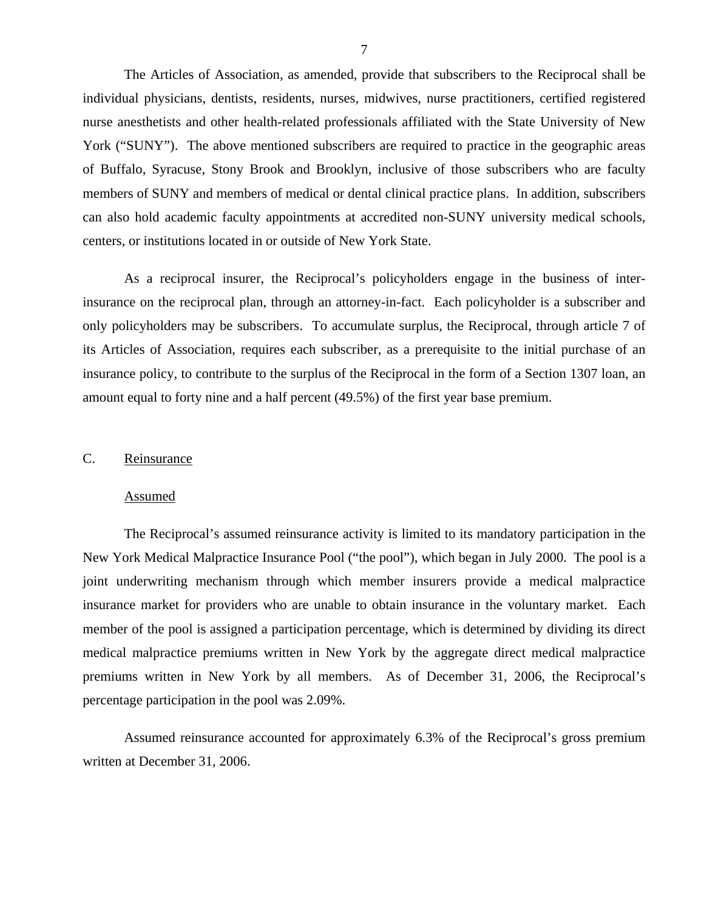<span id="page-8-0"></span>The Articles of Association, as amended, provide that subscribers to the Reciprocal shall be individual physicians, dentists, residents, nurses, midwives, nurse practitioners, certified registered nurse anesthetists and other health-related professionals affiliated with the State University of New York ("SUNY"). The above mentioned subscribers are required to practice in the geographic areas of Buffalo, Syracuse, Stony Brook and Brooklyn, inclusive of those subscribers who are faculty members of SUNY and members of medical or dental clinical practice plans. In addition, subscribers can also hold academic faculty appointments at accredited non-SUNY university medical schools, centers, or institutions located in or outside of New York State.

 amount equal to forty nine and a half percent (49.5%) of the first year base premium. As a reciprocal insurer, the Reciprocal's policyholders engage in the business of interinsurance on the reciprocal plan, through an attorney-in-fact. Each policyholder is a subscriber and only policyholders may be subscribers. To accumulate surplus, the Reciprocal, through article 7 of its Articles of Association, requires each subscriber, as a prerequisite to the initial purchase of an insurance policy, to contribute to the surplus of the Reciprocal in the form of a Section 1307 loan, an

### C. Reinsurance

### Assumed

The Reciprocal's assumed reinsurance activity is limited to its mandatory participation in the New York Medical Malpractice Insurance Pool ("the pool"), which began in July 2000. The pool is a joint underwriting mechanism through which member insurers provide a medical malpractice insurance market for providers who are unable to obtain insurance in the voluntary market. Each member of the pool is assigned a participation percentage, which is determined by dividing its direct medical malpractice premiums written in New York by the aggregate direct medical malpractice premiums written in New York by all members. As of December 31, 2006, the Reciprocal's percentage participation in the pool was 2.09%.

Assumed reinsurance accounted for approximately 6.3% of the Reciprocal's gross premium written at December 31, 2006.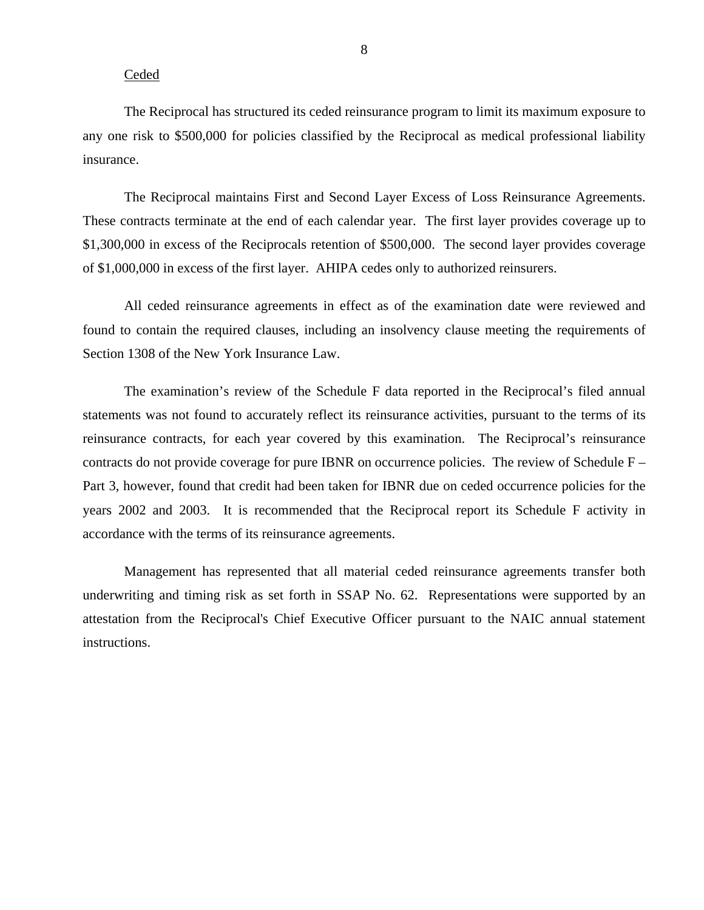### Ceded

The Reciprocal has structured its ceded reinsurance program to limit its maximum exposure to any one risk to \$500,000 for policies classified by the Reciprocal as medical professional liability insurance.

The Reciprocal maintains First and Second Layer Excess of Loss Reinsurance Agreements. These contracts terminate at the end of each calendar year. The first layer provides coverage up to \$1,300,000 in excess of the Reciprocals retention of \$500,000. The second layer provides coverage of \$1,000,000 in excess of the first layer. AHIPA cedes only to authorized reinsurers.

All ceded reinsurance agreements in effect as of the examination date were reviewed and found to contain the required clauses, including an insolvency clause meeting the requirements of Section 1308 of the New York Insurance Law.

The examination's review of the Schedule F data reported in the Reciprocal's filed annual statements was not found to accurately reflect its reinsurance activities, pursuant to the terms of its reinsurance contracts, for each year covered by this examination. The Reciprocal's reinsurance contracts do not provide coverage for pure IBNR on occurrence policies. The review of Schedule F – Part 3, however, found that credit had been taken for IBNR due on ceded occurrence policies for the years 2002 and 2003. It is recommended that the Reciprocal report its Schedule F activity in accordance with the terms of its reinsurance agreements.

Management has represented that all material ceded reinsurance agreements transfer both underwriting and timing risk as set forth in SSAP No. 62. Representations were supported by an attestation from the Reciprocal's Chief Executive Officer pursuant to the NAIC annual statement instructions.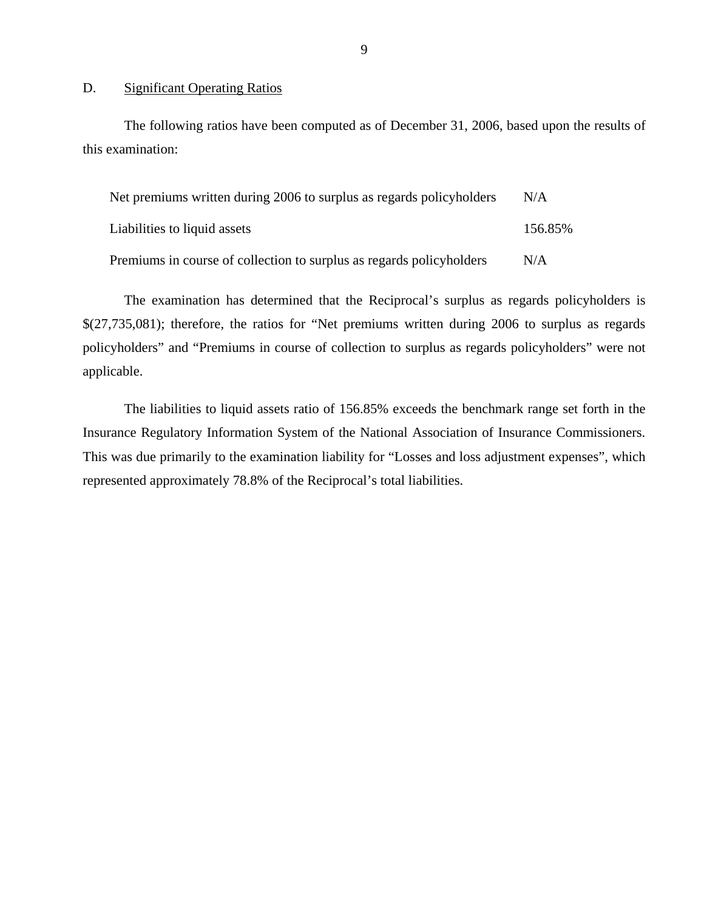### D. Significant Operating Ratios

The following ratios have been computed as of December 31, 2006, based upon the results of this examination:

| Net premiums written during 2006 to surplus as regards policyholders | N/A     |
|----------------------------------------------------------------------|---------|
| Liabilities to liquid assets                                         | 156.85% |
| Premiums in course of collection to surplus as regards policyholders | N/A     |

The examination has determined that the Reciprocal's surplus as regards policyholders is \$(27,735,081); therefore, the ratios for "Net premiums written during 2006 to surplus as regards policyholders" and "Premiums in course of collection to surplus as regards policyholders" were not applicable.

The liabilities to liquid assets ratio of 156.85% exceeds the benchmark range set forth in the Insurance Regulatory Information System of the National Association of Insurance Commissioners. This was due primarily to the examination liability for "Losses and loss adjustment expenses", which represented approximately 78.8% of the Reciprocal's total liabilities.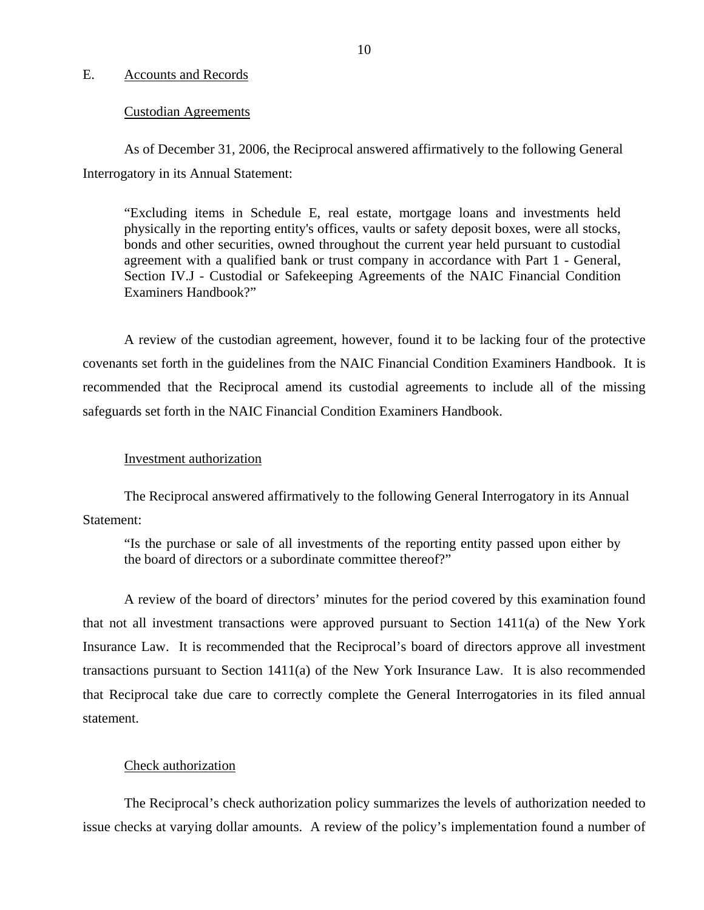### <span id="page-11-0"></span>E. Accounts and Records

### Custodian Agreements

As of December 31, 2006, the Reciprocal answered affirmatively to the following General Interrogatory in its Annual Statement:

"Excluding items in Schedule E, real estate, mortgage loans and investments held physically in the reporting entity's offices, vaults or safety deposit boxes, were all stocks, bonds and other securities, owned throughout the current year held pursuant to custodial agreement with a qualified bank or trust company in accordance with Part 1 - General, Section IV.J - Custodial or Safekeeping Agreements of the NAIC Financial Condition Examiners Handbook?"

A review of the custodian agreement, however, found it to be lacking four of the protective covenants set forth in the guidelines from the NAIC Financial Condition Examiners Handbook. It is recommended that the Reciprocal amend its custodial agreements to include all of the missing safeguards set forth in the NAIC Financial Condition Examiners Handbook.

### Investment authorization

The Reciprocal answered affirmatively to the following General Interrogatory in its Annual Statement:

"Is the purchase or sale of all investments of the reporting entity passed upon either by the board of directors or a subordinate committee thereof?"

A review of the board of directors' minutes for the period covered by this examination found that not all investment transactions were approved pursuant to Section 1411(a) of the New York Insurance Law. It is recommended that the Reciprocal's board of directors approve all investment transactions pursuant to Section  $1411(a)$  of the New York Insurance Law. It is also recommended that Reciprocal take due care to correctly complete the General Interrogatories in its filed annual statement.

### Check authorization

The Reciprocal's check authorization policy summarizes the levels of authorization needed to issue checks at varying dollar amounts. A review of the policy's implementation found a number of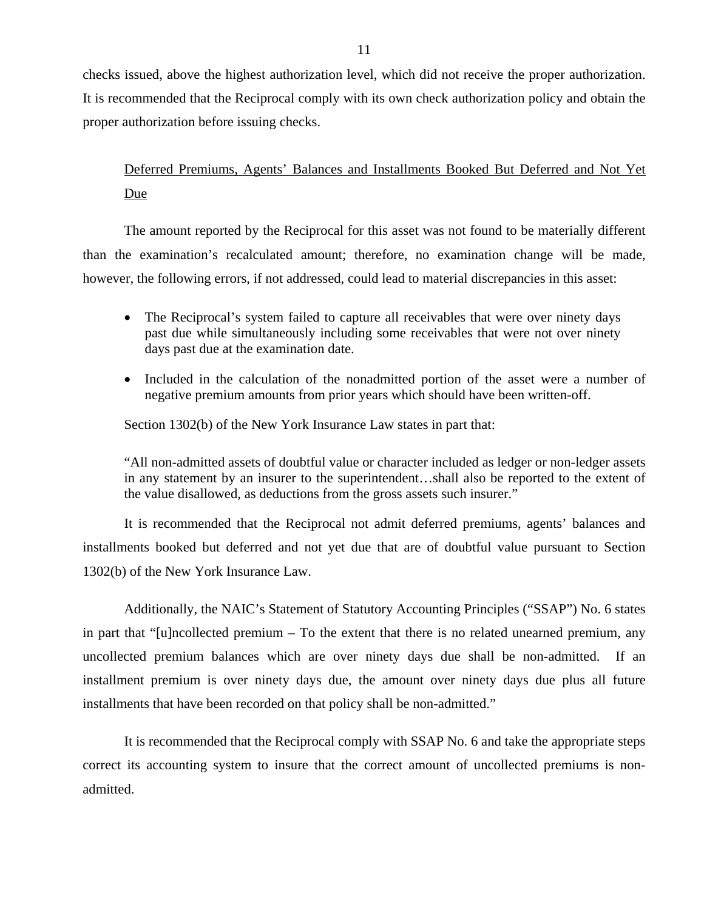checks issued, above the highest authorization level, which did not receive the proper authorization. It is recommended that the Reciprocal comply with its own check authorization policy and obtain the proper authorization before issuing checks.

# Deferred Premiums, Agents' Balances and Installments Booked But Deferred and Not Yet Due

The amount reported by the Reciprocal for this asset was not found to be materially different than the examination's recalculated amount; therefore, no examination change will be made, however, the following errors, if not addressed, could lead to material discrepancies in this asset:

- The Reciprocal's system failed to capture all receivables that were over ninety days past due while simultaneously including some receivables that were not over ninety days past due at the examination date.
- Included in the calculation of the nonadmitted portion of the asset were a number of negative premium amounts from prior years which should have been written-off.

Section 1302(b) of the New York Insurance Law states in part that:

"All non-admitted assets of doubtful value or character included as ledger or non-ledger assets in any statement by an insurer to the superintendent…shall also be reported to the extent of the value disallowed, as deductions from the gross assets such insurer."

It is recommended that the Reciprocal not admit deferred premiums, agents' balances and installments booked but deferred and not yet due that are of doubtful value pursuant to Section 1302(b) of the New York Insurance Law.

Additionally, the NAIC's Statement of Statutory Accounting Principles ("SSAP") No. 6 states in part that "[u]ncollected premium – To the extent that there is no related unearned premium, any uncollected premium balances which are over ninety days due shall be non-admitted. If an installment premium is over ninety days due, the amount over ninety days due plus all future installments that have been recorded on that policy shall be non-admitted."

It is recommended that the Reciprocal comply with SSAP No. 6 and take the appropriate steps correct its accounting system to insure that the correct amount of uncollected premiums is nonadmitted.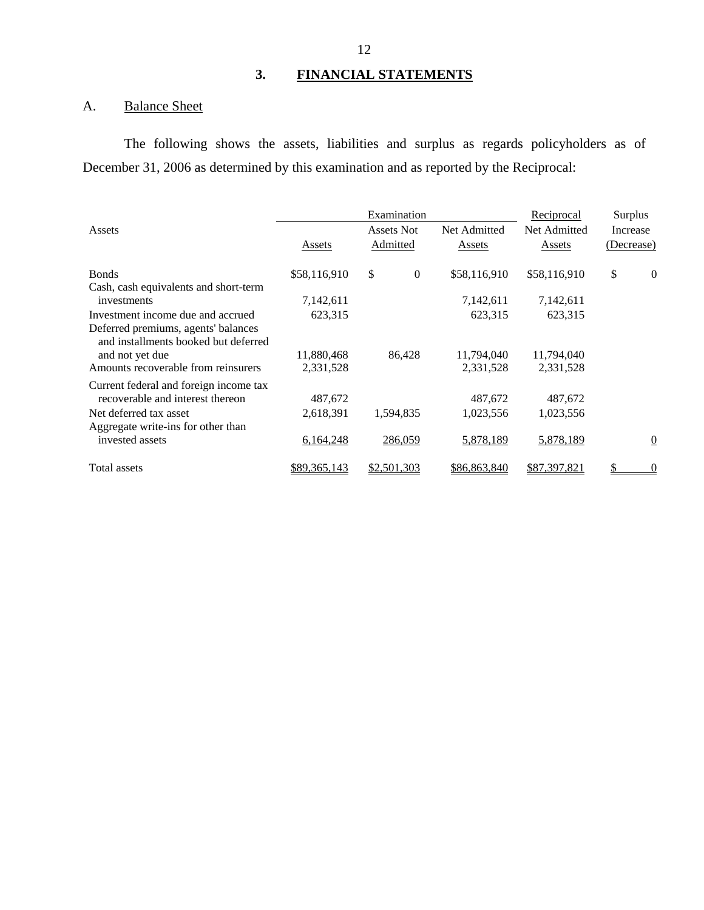# **3. FINANCIAL STATEMENTS**

# A. Balance Sheet

The following shows the assets, liabilities and surplus as regards policyholders as of December 31, 2006 as determined by this examination and as reported by the Reciprocal:

|                                                                             |              | Examination            |              | <u>Reciprocal</u> | Surplus    |                |
|-----------------------------------------------------------------------------|--------------|------------------------|--------------|-------------------|------------|----------------|
| Assets                                                                      |              | Assets Not             | Net Admitted | Net Admitted      | Increase   |                |
|                                                                             | Assets       | Admitted               | Assets       | Assets            | (Decrease) |                |
| <b>Bonds</b>                                                                | \$58,116,910 | \$<br>$\boldsymbol{0}$ | \$58,116,910 | \$58,116,910      | \$         | $\theta$       |
| Cash, cash equivalents and short-term                                       |              |                        |              |                   |            |                |
| investments                                                                 | 7,142,611    |                        | 7,142,611    | 7,142,611         |            |                |
| Investment income due and accrued                                           | 623,315      |                        | 623,315      | 623,315           |            |                |
| Deferred premiums, agents' balances<br>and installments booked but deferred |              |                        |              |                   |            |                |
| and not yet due                                                             | 11,880,468   | 86,428                 | 11,794,040   | 11,794,040        |            |                |
| Amounts recoverable from reinsurers                                         | 2,331,528    |                        | 2,331,528    | 2,331,528         |            |                |
| Current federal and foreign income tax                                      |              |                        |              |                   |            |                |
| recoverable and interest thereon                                            | 487,672      |                        | 487,672      | 487,672           |            |                |
| Net deferred tax asset                                                      | 2,618,391    | 1,594,835              | 1,023,556    | 1,023,556         |            |                |
| Aggregate write-ins for other than                                          |              |                        |              |                   |            |                |
| invested assets                                                             | 6,164,248    | 286,059                | 5,878,189    | 5,878,189         |            | $\overline{0}$ |
| Total assets                                                                | \$89,365,143 | \$2,501,303            | \$86,863,840 | \$87,397,821      |            | $\theta$       |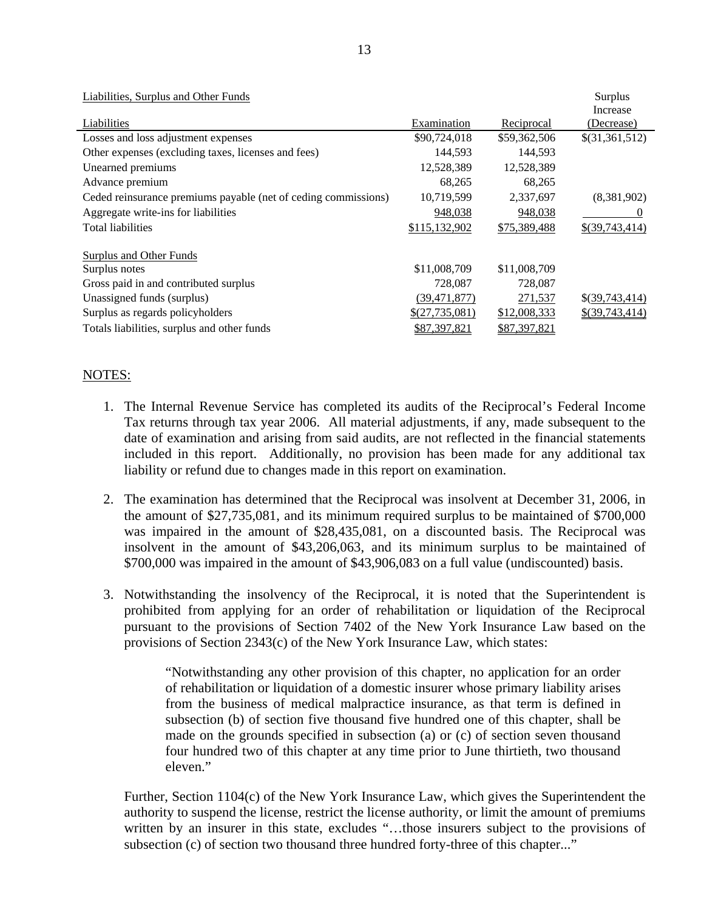| Liabilities, Surplus and Other Funds                           |                |              | Surplus          |
|----------------------------------------------------------------|----------------|--------------|------------------|
| Liabilities                                                    |                |              | Increase         |
|                                                                | Examination    | Reciprocal   | (Decrease)       |
| Losses and loss adjustment expenses                            | \$90,724,018   | \$59,362,506 | \$(31,361,512)   |
| Other expenses (excluding taxes, licenses and fees)            | 144,593        | 144,593      |                  |
| Unearned premiums                                              | 12,528,389     | 12,528,389   |                  |
| Advance premium                                                | 68,265         | 68,265       |                  |
| Ceded reinsurance premiums payable (net of ceding commissions) | 10,719,599     | 2,337,697    | (8,381,902)      |
| Aggregate write-ins for liabilities                            | 948,038        | 948,038      | U                |
| <b>Total liabilities</b>                                       | \$115,132,902  | \$75,389,488 | \$(39,743,414)   |
| <b>Surplus and Other Funds</b>                                 |                |              |                  |
|                                                                |                |              |                  |
| Surplus notes                                                  | \$11,008,709   | \$11,008,709 |                  |
| Gross paid in and contributed surplus                          | 728,087        | 728,087      |                  |
| Unassigned funds (surplus)                                     | (39, 471, 877) | 271,537      | $$$ (39,743,414) |
| Surplus as regards policyholders                               | \$(27,735,081) | \$12,008,333 | $$$ (39,743,414) |
| Totals liabilities, surplus and other funds                    | \$87,397,821   | \$87,397,821 |                  |

### NOTES:

- 1. The Internal Revenue Service has completed its audits of the Reciprocal's Federal Income Tax returns through tax year 2006. All material adjustments, if any, made subsequent to the date of examination and arising from said audits, are not reflected in the financial statements included in this report. Additionally, no provision has been made for any additional tax liability or refund due to changes made in this report on examination.
- 2. The examination has determined that the Reciprocal was insolvent at December 31, 2006, in the amount of \$27,735,081, and its minimum required surplus to be maintained of \$700,000 was impaired in the amount of \$28,435,081, on a discounted basis. The Reciprocal was insolvent in the amount of \$43,206,063, and its minimum surplus to be maintained of \$700,000 was impaired in the amount of \$43,906,083 on a full value (undiscounted) basis.
- 3. Notwithstanding the insolvency of the Reciprocal, it is noted that the Superintendent is prohibited from applying for an order of rehabilitation or liquidation of the Reciprocal pursuant to the provisions of Section 7402 of the New York Insurance Law based on the provisions of Section 2343(c) of the New York Insurance Law, which states:

"Notwithstanding any other provision of this chapter, no application for an order of rehabilitation or liquidation of a domestic insurer whose primary liability arises from the business of medical malpractice insurance, as that term is defined in subsection (b) of section five thousand five hundred one of this chapter, shall be made on the grounds specified in subsection (a) or (c) of section seven thousand four hundred two of this chapter at any time prior to June thirtieth, two thousand eleven."

Further, Section 1104(c) of the New York Insurance Law, which gives the Superintendent the authority to suspend the license, restrict the license authority, or limit the amount of premiums written by an insurer in this state, excludes "…those insurers subject to the provisions of subsection (c) of section two thousand three hundred forty-three of this chapter..."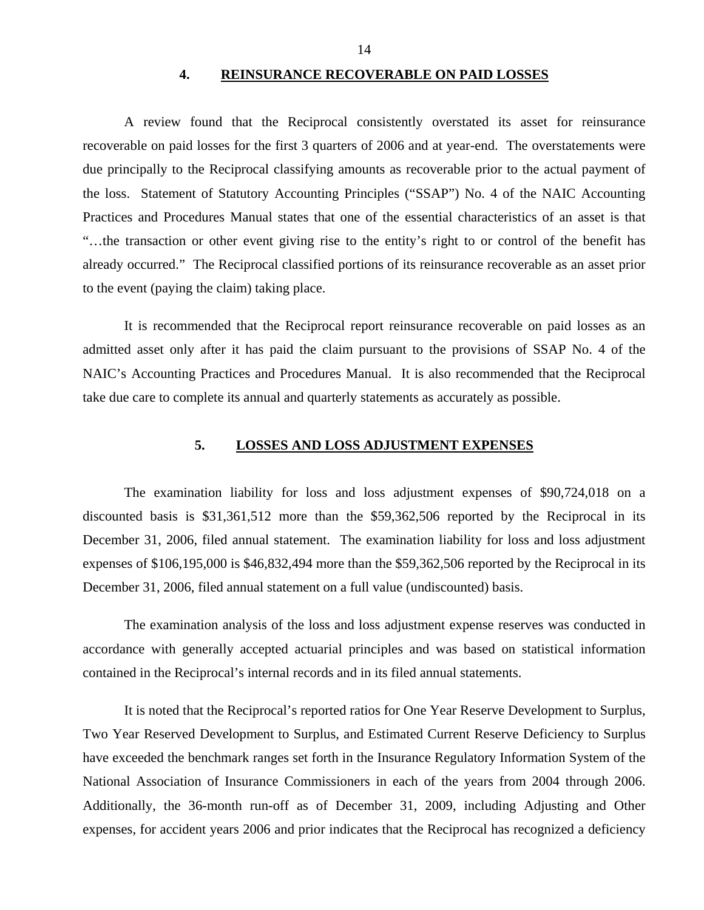#### **4. REINSURANCE RECOVERABLE ON PAID LOSSES**

<span id="page-15-0"></span>A review found that the Reciprocal consistently overstated its asset for reinsurance recoverable on paid losses for the first 3 quarters of 2006 and at year-end. The overstatements were due principally to the Reciprocal classifying amounts as recoverable prior to the actual payment of the loss. Statement of Statutory Accounting Principles ("SSAP") No. 4 of the NAIC Accounting Practices and Procedures Manual states that one of the essential characteristics of an asset is that "…the transaction or other event giving rise to the entity's right to or control of the benefit has already occurred." The Reciprocal classified portions of its reinsurance recoverable as an asset prior to the event (paying the claim) taking place.

It is recommended that the Reciprocal report reinsurance recoverable on paid losses as an admitted asset only after it has paid the claim pursuant to the provisions of SSAP No. 4 of the NAIC's Accounting Practices and Procedures Manual. It is also recommended that the Reciprocal take due care to complete its annual and quarterly statements as accurately as possible.

### **5. LOSSES AND LOSS ADJUSTMENT EXPENSES**

The examination liability for loss and loss adjustment expenses of \$90,724,018 on a discounted basis is \$31,361,512 more than the \$59,362,506 reported by the Reciprocal in its December 31, 2006, filed annual statement. The examination liability for loss and loss adjustment expenses of \$106,195,000 is \$46,832,494 more than the \$59,362,506 reported by the Reciprocal in its December 31, 2006, filed annual statement on a full value (undiscounted) basis.

The examination analysis of the loss and loss adjustment expense reserves was conducted in accordance with generally accepted actuarial principles and was based on statistical information contained in the Reciprocal's internal records and in its filed annual statements.

It is noted that the Reciprocal's reported ratios for One Year Reserve Development to Surplus, Two Year Reserved Development to Surplus, and Estimated Current Reserve Deficiency to Surplus have exceeded the benchmark ranges set forth in the Insurance Regulatory Information System of the National Association of Insurance Commissioners in each of the years from 2004 through 2006. Additionally, the 36-month run-off as of December 31, 2009, including Adjusting and Other expenses, for accident years 2006 and prior indicates that the Reciprocal has recognized a deficiency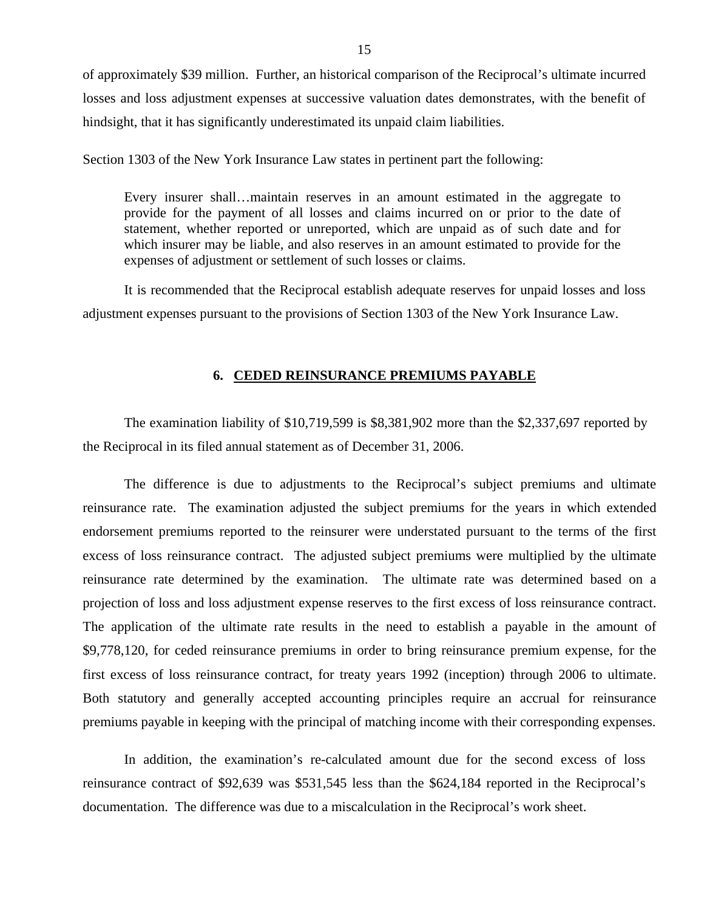<span id="page-16-0"></span>of approximately \$39 million. Further, an historical comparison of the Reciprocal's ultimate incurred losses and loss adjustment expenses at successive valuation dates demonstrates, with the benefit of hindsight, that it has significantly underestimated its unpaid claim liabilities.

Section 1303 of the New York Insurance Law states in pertinent part the following:

Every insurer shall…maintain reserves in an amount estimated in the aggregate to provide for the payment of all losses and claims incurred on or prior to the date of statement, whether reported or unreported, which are unpaid as of such date and for which insurer may be liable, and also reserves in an amount estimated to provide for the expenses of adjustment or settlement of such losses or claims.

It is recommended that the Reciprocal establish adequate reserves for unpaid losses and loss adjustment expenses pursuant to the provisions of Section 1303 of the New York Insurance Law.

### **6. CEDED REINSURANCE PREMIUMS PAYABLE**

The examination liability of \$10,719,599 is \$8,381,902 more than the \$2,337,697 reported by the Reciprocal in its filed annual statement as of December 31, 2006.

projection of loss and loss adjustment expense reserves to the first excess of loss reinsurance contract. The difference is due to adjustments to the Reciprocal's subject premiums and ultimate reinsurance rate. The examination adjusted the subject premiums for the years in which extended endorsement premiums reported to the reinsurer were understated pursuant to the terms of the first excess of loss reinsurance contract. The adjusted subject premiums were multiplied by the ultimate reinsurance rate determined by the examination. The ultimate rate was determined based on a The application of the ultimate rate results in the need to establish a payable in the amount of \$9,778,120, for ceded reinsurance premiums in order to bring reinsurance premium expense, for the first excess of loss reinsurance contract, for treaty years 1992 (inception) through 2006 to ultimate. Both statutory and generally accepted accounting principles require an accrual for reinsurance premiums payable in keeping with the principal of matching income with their corresponding expenses.

In addition, the examination's re-calculated amount due for the second excess of loss reinsurance contract of \$92,639 was \$531,545 less than the \$624,184 reported in the Reciprocal's documentation. The difference was due to a miscalculation in the Reciprocal's work sheet.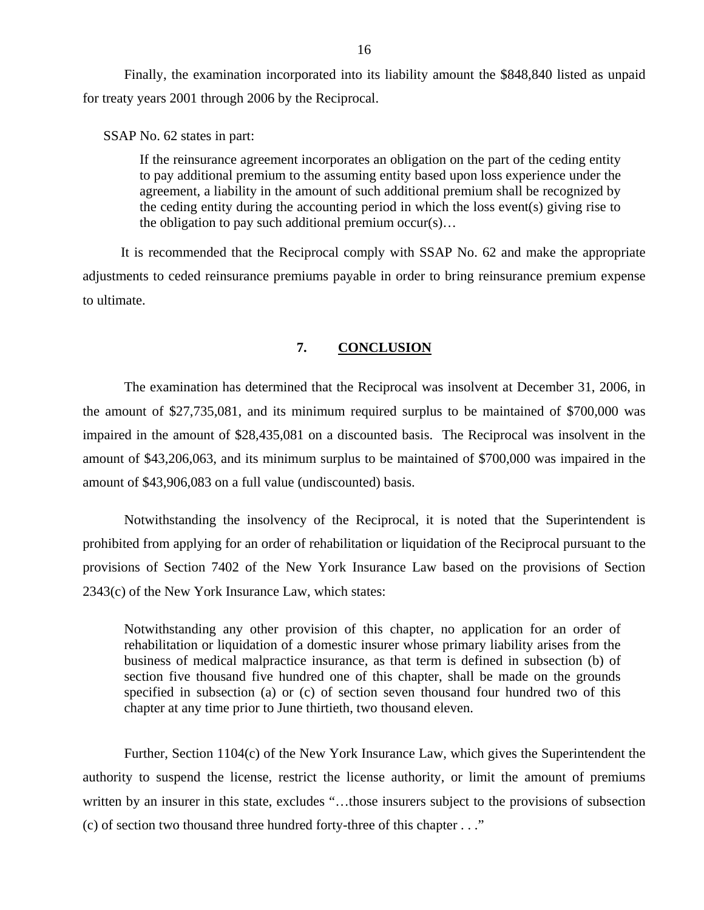<span id="page-17-0"></span>Finally, the examination incorporated into its liability amount the \$848,840 listed as unpaid for treaty years 2001 through 2006 by the Reciprocal.

SSAP No. 62 states in part:

If the reinsurance agreement incorporates an obligation on the part of the ceding entity to pay additional premium to the assuming entity based upon loss experience under the agreement, a liability in the amount of such additional premium shall be recognized by the ceding entity during the accounting period in which the loss event(s) giving rise to the obligation to pay such additional premium occur(s)…

It is recommended that the Reciprocal comply with SSAP No. 62 and make the appropriate adjustments to ceded reinsurance premiums payable in order to bring reinsurance premium expense to ultimate.

### **7. CONCLUSION**

The examination has determined that the Reciprocal was insolvent at December 31, 2006, in the amount of \$27,735,081, and its minimum required surplus to be maintained of \$700,000 was impaired in the amount of \$28,435,081 on a discounted basis. The Reciprocal was insolvent in the amount of \$43,206,063, and its minimum surplus to be maintained of \$700,000 was impaired in the amount of \$43,906,083 on a full value (undiscounted) basis.

Notwithstanding the insolvency of the Reciprocal, it is noted that the Superintendent is prohibited from applying for an order of rehabilitation or liquidation of the Reciprocal pursuant to the provisions of Section 7402 of the New York Insurance Law based on the provisions of Section 2343(c) of the New York Insurance Law, which states:

Notwithstanding any other provision of this chapter, no application for an order of rehabilitation or liquidation of a domestic insurer whose primary liability arises from the business of medical malpractice insurance, as that term is defined in subsection (b) of section five thousand five hundred one of this chapter, shall be made on the grounds specified in subsection (a) or (c) of section seven thousand four hundred two of this chapter at any time prior to June thirtieth, two thousand eleven.

Further, Section 1104(c) of the New York Insurance Law, which gives the Superintendent the authority to suspend the license, restrict the license authority, or limit the amount of premiums written by an insurer in this state, excludes "…those insurers subject to the provisions of subsection (c) of section two thousand three hundred forty-three of this chapter . . ."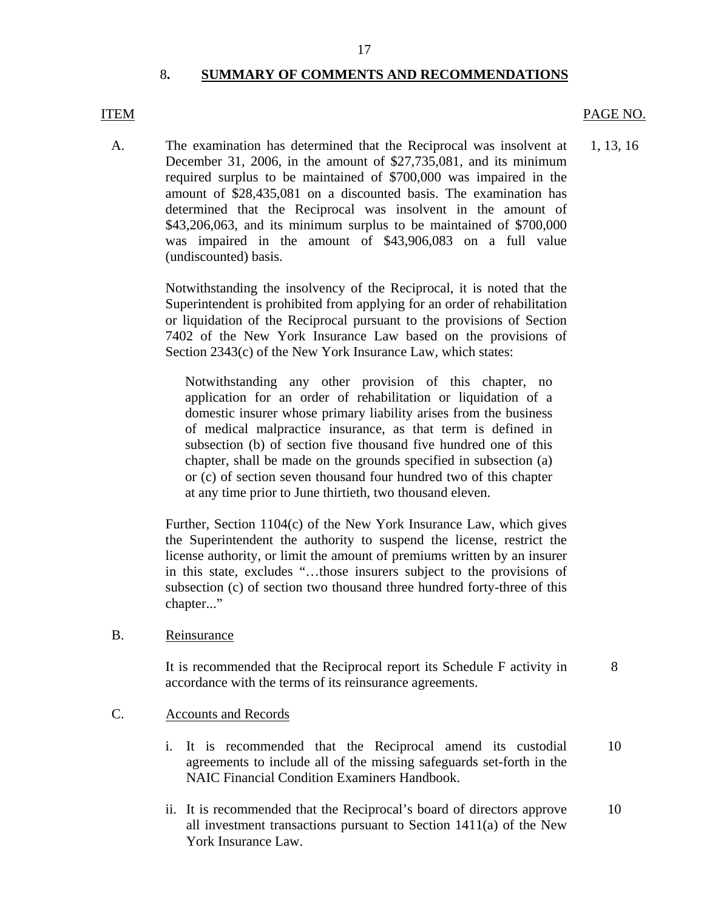### 8**. SUMMARY OF COMMENTS AND RECOMMENDATIONS**

A. The examination has determined that the Reciprocal was insolvent at 1, 13, 16 December 31, 2006, in the amount of \$27,735,081, and its minimum required surplus to be maintained of \$700,000 was impaired in the amount of \$28,435,081 on a discounted basis. The examination has determined that the Reciprocal was insolvent in the amount of \$43,206,063, and its minimum surplus to be maintained of \$700,000 was impaired in the amount of \$43,906,083 on a full value (undiscounted) basis.

> Notwithstanding the insolvency of the Reciprocal, it is noted that the Superintendent is prohibited from applying for an order of rehabilitation or liquidation of the Reciprocal pursuant to the provisions of Section 7402 of the New York Insurance Law based on the provisions of Section 2343(c) of the New York Insurance Law, which states:

Notwithstanding any other provision of this chapter, no application for an order of rehabilitation or liquidation of a domestic insurer whose primary liability arises from the business of medical malpractice insurance, as that term is defined in subsection (b) of section five thousand five hundred one of this chapter, shall be made on the grounds specified in subsection (a) or (c) of section seven thousand four hundred two of this chapter at any time prior to June thirtieth, two thousand eleven.

Further, Section 1104(c) of the New York Insurance Law, which gives the Superintendent the authority to suspend the license, restrict the license authority, or limit the amount of premiums written by an insurer in this state, excludes "…those insurers subject to the provisions of subsection (c) of section two thousand three hundred forty-three of this chapter..."

B. Reinsurance

It is recommended that the Reciprocal report its Schedule F activity in accordance with the terms of its reinsurance agreements.

### C. Accounts and Records

- i. It is recommended that the Reciprocal amend its custodial 10 agreements to include all of the missing safeguards set-forth in the NAIC Financial Condition Examiners Handbook.
- ii. It is recommended that the Reciprocal's board of directors approve 10 all investment transactions pursuant to Section 1411(a) of the New York Insurance Law.

17

# <span id="page-18-0"></span>ITEM PAGE NO.

8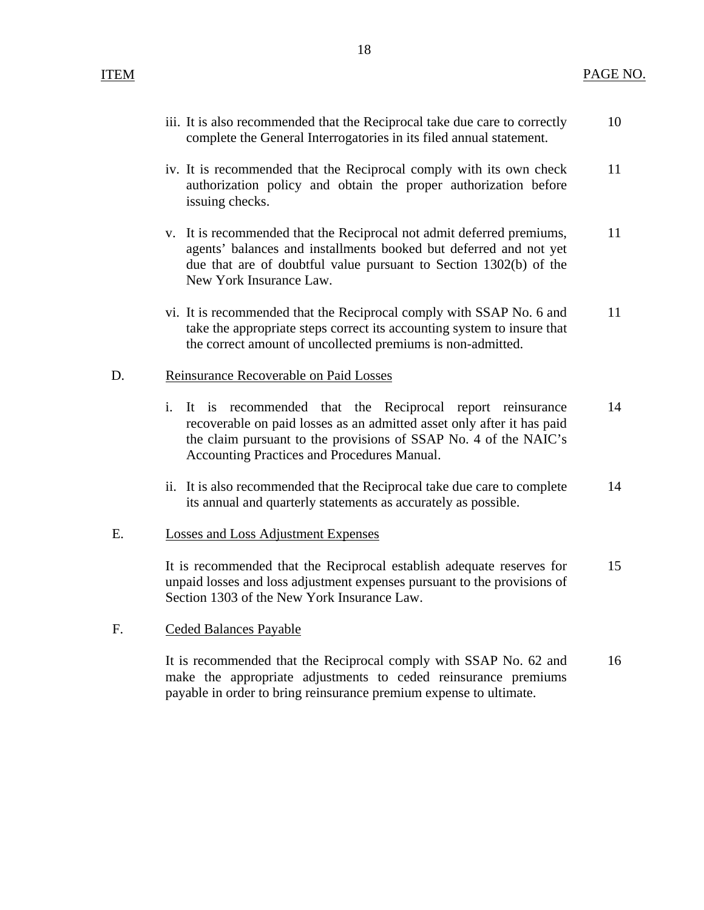- iii. It is also recommended that the Reciprocal take due care to correctly complete the General Interrogatories in its filed annual statement. 10
- iv. It is recommended that the Reciprocal comply with its own check authorization policy and obtain the proper authorization before issuing checks. 11
- v. It is recommended that the Reciprocal not admit deferred premiums, agents' balances and installments booked but deferred and not yet due that are of doubtful value pursuant to Section 1302(b) of the New York Insurance Law. 11
- vi. It is recommended that the Reciprocal comply with SSAP No. 6 and take the appropriate steps correct its accounting system to insure that the correct amount of uncollected premiums is non-admitted. 11

## D. Reinsurance Recoverable on Paid Losses

- i. It is recommended that the Reciprocal report reinsurance recoverable on paid losses as an admitted asset only after it has paid the claim pursuant to the provisions of SSAP No. 4 of the NAIC's Accounting Practices and Procedures Manual. 14
- ii. It is also recommended that the Reciprocal take due care to complete its annual and quarterly statements as accurately as possible. 14

# E. Losses and Loss Adjustment Expenses

It is recommended that the Reciprocal establish adequate reserves for unpaid losses and loss adjustment expenses pursuant to the provisions of Section 1303 of the New York Insurance Law. 15

### F. Ceded Balances Payable

It is recommended that the Reciprocal comply with SSAP No. 62 and make the appropriate adjustments to ceded reinsurance premiums payable in order to bring reinsurance premium expense to ultimate. 16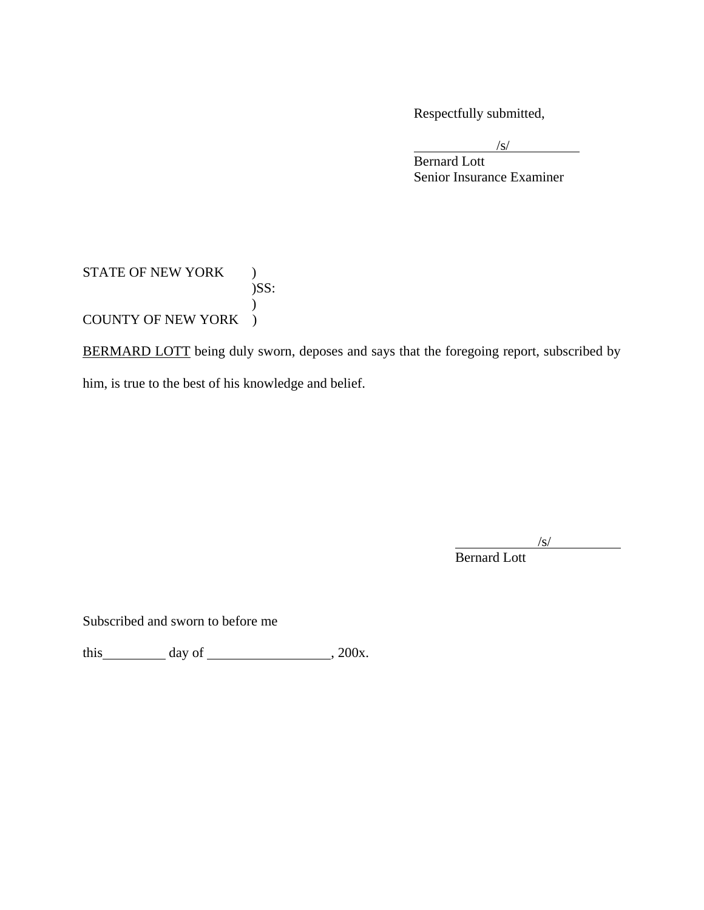Respectfully submitted,

 $\sqrt{s}$  $\sqrt{s}$ /s/

**Bernard Lott** Senior Insurance Examiner

# STATE OF NEW YORK ) )SS:  $\mathcal{L}$ COUNTY OF NEW YORK )

BERMARD LOTT being duly sworn, deposes and says that the foregoing report, subscribed by him, is true to the best of his knowledge and belief.

 $\sqrt{s}$ /s/

Bernard Lott

Subscribed and sworn to before me

this day of  $\frac{1}{200x}$ .